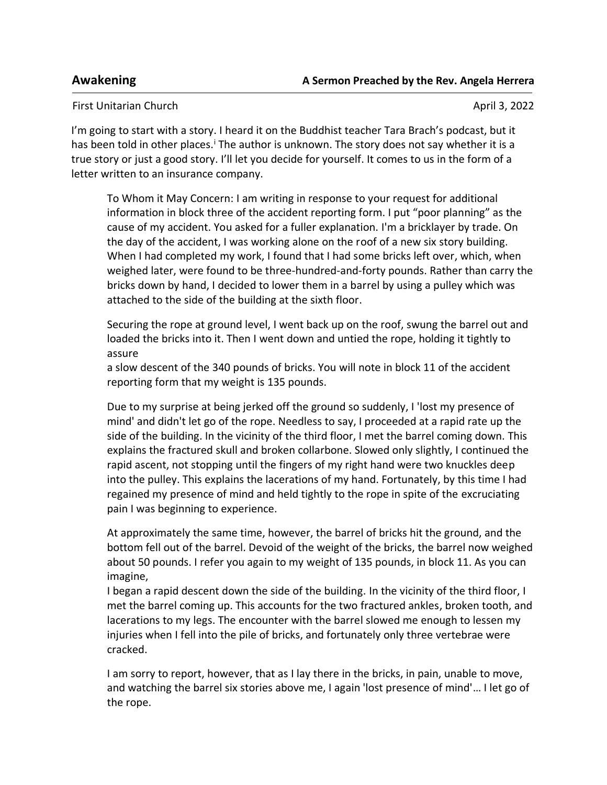First Unitarian Church April 3, 2022

I'm going to start with a story. I heard it on the Buddhist teacher Tara Brach's podcast, but it has been told in other places.<sup>i</sup> The author is unknown. The story does not say whether it is a true story or just a good story. I'll let you decide for yourself. It comes to us in the form of a letter written to an insurance company.

To Whom it May Concern: I am writing in response to your request for additional information in block three of the accident reporting form. I put "poor planning" as the cause of my accident. You asked for a fuller explanation. I'm a bricklayer by trade. On the day of the accident, I was working alone on the roof of a new six story building. When I had completed my work, I found that I had some bricks left over, which, when weighed later, were found to be three-hundred-and-forty pounds. Rather than carry the bricks down by hand, I decided to lower them in a barrel by using a pulley which was attached to the side of the building at the sixth floor.

Securing the rope at ground level, I went back up on the roof, swung the barrel out and loaded the bricks into it. Then I went down and untied the rope, holding it tightly to assure

a slow descent of the 340 pounds of bricks. You will note in block 11 of the accident reporting form that my weight is 135 pounds.

Due to my surprise at being jerked off the ground so suddenly, I 'lost my presence of mind' and didn't let go of the rope. Needless to say, I proceeded at a rapid rate up the side of the building. In the vicinity of the third floor, I met the barrel coming down. This explains the fractured skull and broken collarbone. Slowed only slightly, I continued the rapid ascent, not stopping until the fingers of my right hand were two knuckles deep into the pulley. This explains the lacerations of my hand. Fortunately, by this time I had regained my presence of mind and held tightly to the rope in spite of the excruciating pain I was beginning to experience.

At approximately the same time, however, the barrel of bricks hit the ground, and the bottom fell out of the barrel. Devoid of the weight of the bricks, the barrel now weighed about 50 pounds. I refer you again to my weight of 135 pounds, in block 11. As you can imagine,

I began a rapid descent down the side of the building. In the vicinity of the third floor, I met the barrel coming up. This accounts for the two fractured ankles, broken tooth, and lacerations to my legs. The encounter with the barrel slowed me enough to lessen my injuries when I fell into the pile of bricks, and fortunately only three vertebrae were cracked.

I am sorry to report, however, that as I lay there in the bricks, in pain, unable to move, and watching the barrel six stories above me, I again 'lost presence of mind'… I let go of the rope.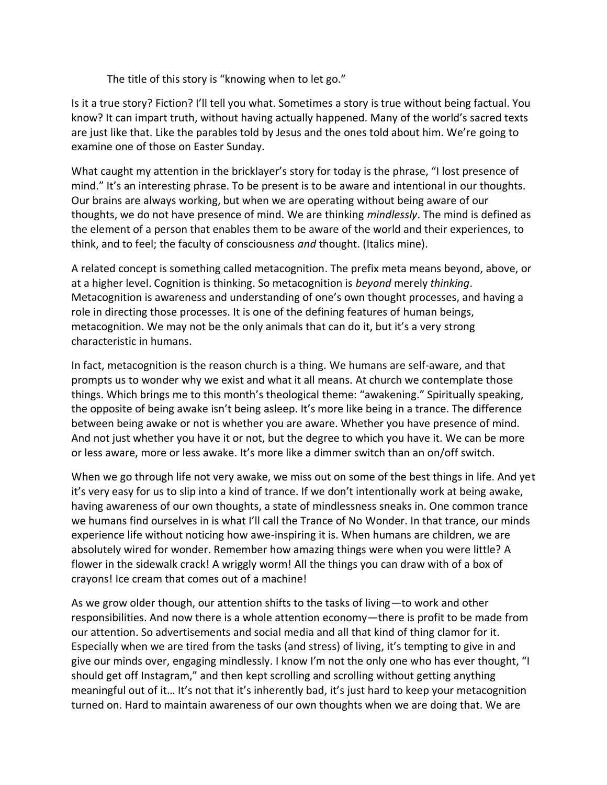The title of this story is "knowing when to let go."

Is it a true story? Fiction? I'll tell you what. Sometimes a story is true without being factual. You know? It can impart truth, without having actually happened. Many of the world's sacred texts are just like that. Like the parables told by Jesus and the ones told about him. We're going to examine one of those on Easter Sunday.

What caught my attention in the bricklayer's story for today is the phrase, "I lost presence of mind." It's an interesting phrase. To be present is to be aware and intentional in our thoughts. Our brains are always working, but when we are operating without being aware of our thoughts, we do not have presence of mind. We are thinking *mindlessly*. The mind is defined as the element of a person that enables them to be aware of the world and their experiences, to think, and to feel; the faculty of consciousness *and* thought. (Italics mine).

A related concept is something called metacognition. The prefix meta means beyond, above, or at a higher level. Cognition is thinking. So metacognition is *beyond* merely *thinking*. Metacognition is awareness and understanding of one's own thought processes, and having a role in directing those processes. It is one of the defining features of human beings, metacognition. We may not be the only animals that can do it, but it's a very strong characteristic in humans.

In fact, metacognition is the reason church is a thing. We humans are self-aware, and that prompts us to wonder why we exist and what it all means. At church we contemplate those things. Which brings me to this month's theological theme: "awakening." Spiritually speaking, the opposite of being awake isn't being asleep. It's more like being in a trance. The difference between being awake or not is whether you are aware. Whether you have presence of mind. And not just whether you have it or not, but the degree to which you have it. We can be more or less aware, more or less awake. It's more like a dimmer switch than an on/off switch.

When we go through life not very awake, we miss out on some of the best things in life. And yet it's very easy for us to slip into a kind of trance. If we don't intentionally work at being awake, having awareness of our own thoughts, a state of mindlessness sneaks in. One common trance we humans find ourselves in is what I'll call the Trance of No Wonder. In that trance, our minds experience life without noticing how awe-inspiring it is. When humans are children, we are absolutely wired for wonder. Remember how amazing things were when you were little? A flower in the sidewalk crack! A wriggly worm! All the things you can draw with of a box of crayons! Ice cream that comes out of a machine!

As we grow older though, our attention shifts to the tasks of living—to work and other responsibilities. And now there is a whole attention economy—there is profit to be made from our attention. So advertisements and social media and all that kind of thing clamor for it. Especially when we are tired from the tasks (and stress) of living, it's tempting to give in and give our minds over, engaging mindlessly. I know I'm not the only one who has ever thought, "I should get off Instagram," and then kept scrolling and scrolling without getting anything meaningful out of it… It's not that it's inherently bad, it's just hard to keep your metacognition turned on. Hard to maintain awareness of our own thoughts when we are doing that. We are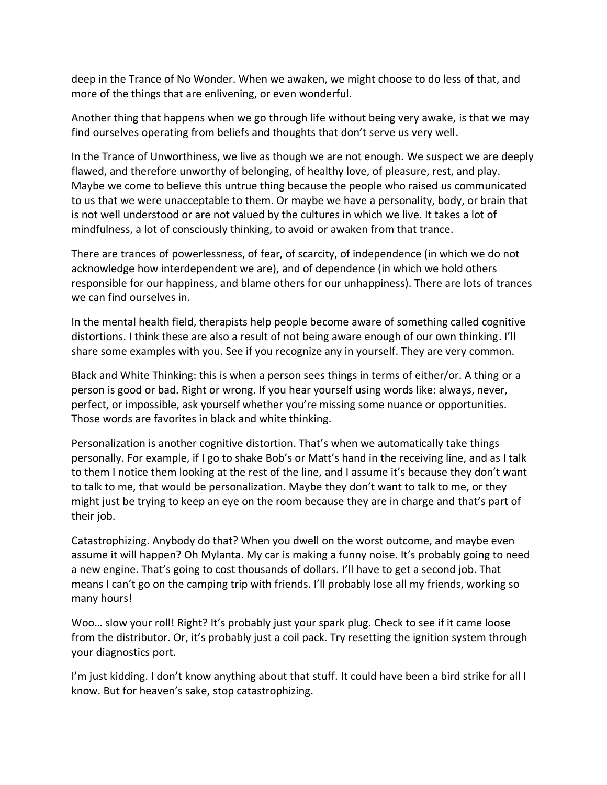deep in the Trance of No Wonder. When we awaken, we might choose to do less of that, and more of the things that are enlivening, or even wonderful.

Another thing that happens when we go through life without being very awake, is that we may find ourselves operating from beliefs and thoughts that don't serve us very well.

In the Trance of Unworthiness, we live as though we are not enough. We suspect we are deeply flawed, and therefore unworthy of belonging, of healthy love, of pleasure, rest, and play. Maybe we come to believe this untrue thing because the people who raised us communicated to us that we were unacceptable to them. Or maybe we have a personality, body, or brain that is not well understood or are not valued by the cultures in which we live. It takes a lot of mindfulness, a lot of consciously thinking, to avoid or awaken from that trance.

There are trances of powerlessness, of fear, of scarcity, of independence (in which we do not acknowledge how interdependent we are), and of dependence (in which we hold others responsible for our happiness, and blame others for our unhappiness). There are lots of trances we can find ourselves in.

In the mental health field, therapists help people become aware of something called cognitive distortions. I think these are also a result of not being aware enough of our own thinking. I'll share some examples with you. See if you recognize any in yourself. They are very common.

Black and White Thinking: this is when a person sees things in terms of either/or. A thing or a person is good or bad. Right or wrong. If you hear yourself using words like: always, never, perfect, or impossible, ask yourself whether you're missing some nuance or opportunities. Those words are favorites in black and white thinking.

Personalization is another cognitive distortion. That's when we automatically take things personally. For example, if I go to shake Bob's or Matt's hand in the receiving line, and as I talk to them I notice them looking at the rest of the line, and I assume it's because they don't want to talk to me, that would be personalization. Maybe they don't want to talk to me, or they might just be trying to keep an eye on the room because they are in charge and that's part of their job.

Catastrophizing. Anybody do that? When you dwell on the worst outcome, and maybe even assume it will happen? Oh Mylanta. My car is making a funny noise. It's probably going to need a new engine. That's going to cost thousands of dollars. I'll have to get a second job. That means I can't go on the camping trip with friends. I'll probably lose all my friends, working so many hours!

Woo… slow your roll! Right? It's probably just your spark plug. Check to see if it came loose from the distributor. Or, it's probably just a coil pack. Try resetting the ignition system through your diagnostics port.

I'm just kidding. I don't know anything about that stuff. It could have been a bird strike for all I know. But for heaven's sake, stop catastrophizing.